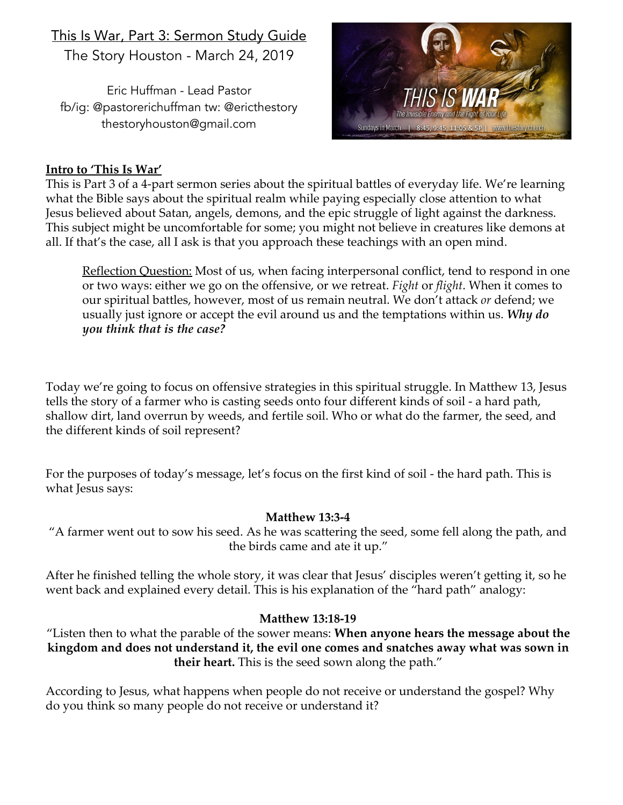# This Is War, Part 3: Sermon Study Guide The Story Houston - March 24, 2019

Eric Huffman - Lead Pastor fb/ig: @pastorerichuffman tw: @ericthestory thestoryhouston@gmail.com



### **Intro to 'This Is War'**

This is Part 3 of a 4-part sermon series about the spiritual battles of everyday life. We're learning what the Bible says about the spiritual realm while paying especially close attention to what Jesus believed about Satan, angels, demons, and the epic struggle of light against the darkness. This subject might be uncomfortable for some; you might not believe in creatures like demons at all. If that's the case, all I ask is that you approach these teachings with an open mind.

Reflection Question: Most of us, when facing interpersonal conflict, tend to respond in one or two ways: either we go on the offensive, or we retreat. *Fight* or *flight*. When it comes to our spiritual battles, however, most of us remain neutral. We don't attack *or* defend; we usually just ignore or accept the evil around us and the temptations within us. *Why do you think that is the case?*

Today we're going to focus on offensive strategies in this spiritual struggle. In Matthew 13, Jesus tells the story of a farmer who is casting seeds onto four different kinds of soil - a hard path, shallow dirt, land overrun by weeds, and fertile soil. Who or what do the farmer, the seed, and the different kinds of soil represent?

For the purposes of today's message, let's focus on the first kind of soil - the hard path. This is what Jesus says:

### **Matthew 13:3-4**

"A farmer went out to sow his seed. As he was scattering the seed, some fell along the path, and the birds came and ate it up."

After he finished telling the whole story, it was clear that Jesus' disciples weren't getting it, so he went back and explained every detail. This is his explanation of the "hard path" analogy:

### **Matthew 13:18-19**

"Listen then to what the parable of the sower means: **When anyone hears the message about the kingdom and does not understand it, the evil one comes and snatches away what was sown in their heart.** This is the seed sown along the path."

According to Jesus, what happens when people do not receive or understand the gospel? Why do you think so many people do not receive or understand it?